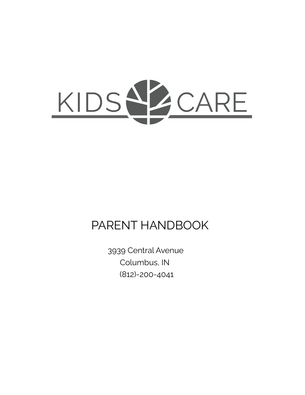

# PARENT HANDBOOK

3939 Central Avenue Columbus, IN (812)-200-4041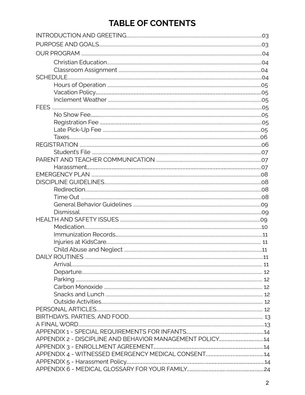## **TABLE OF CONTENTS**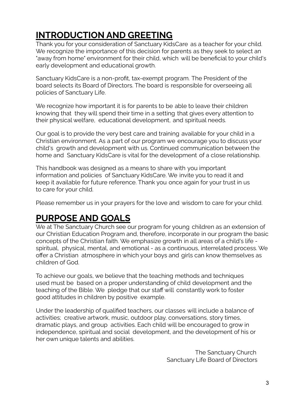# **INTRODUCTION AND GREETING**

Thank you for your consideration of Sanctuary KidsCare as a teacher for your child. We recognize the importance of this decision for parents as they seek to select an "away from home" environment for their child, which will be beneficial to your child's early development and educational growth.

Sanctuary KidsCare is a non-profit, tax-exempt program. The President of the board selects its Board of Directors. The board is responsible for overseeing all policies of Sanctuary Life.

We recognize how important it is for parents to be able to leave their children knowing that they will spend their time in a setting that gives every attention to their physical welfare, educational development, and spiritual needs.

Our goal is to provide the very best care and training available for your child in a Christian environment. As a part of our program we encourage you to discuss your child's growth and development with us. Continued communication between the home and Sanctuary KidsCare is vital for the development of a close relationship.

This handbook was designed as a means to share with you important information and policies of Sanctuary KidsCare. We invite you to read it and keep it available for future reference. Thank you once again for your trust in us to care for your child.

Please remember us in your prayers for the love and wisdom to care for your child.

## **PURPOSE AND GOALS**

We at The Sanctuary Church see our program for young children as an extension of our Christian Education Program and, therefore, incorporate in our program the basic concepts of the Christian faith. We emphasize growth in all areas of a child's life spiritual, physical, mental, and emotional - as a continuous, interrelated process. We offer a Christian atmosphere in which your boys and girls can know themselves as children of God.

To achieve our goals, we believe that the teaching methods and techniques used must be based on a proper understanding of child development and the teaching of the Bible. We pledge that our staff will constantly work to foster good attitudes in children by positive example.

Under the leadership of qualified teachers, our classes will include a balance of activities; creative artwork, music, outdoor play, conversations, story times, dramatic plays, and group activities. Each child will be encouraged to grow in independence, spiritual and social development, and the development of his or her own unique talents and abilities.

> The Sanctuary Church Sanctuary Life Board of Directors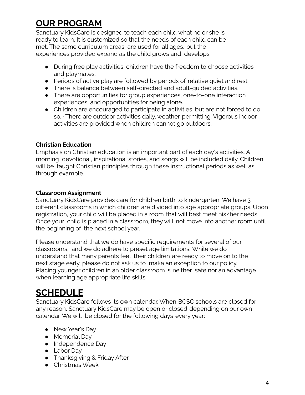## **OUR PROGRAM**

Sanctuary KidsCare is designed to teach each child what he or she is ready to learn. It is customized so that the needs of each child can be met. The same curriculum areas are used for all ages, but the experiences provided expand as the child grows and develops.

- During free play activities, children have the freedom to choose activities and playmates.
- Periods of active play are followed by periods of relative quiet and rest.
- There is balance between self-directed and adult-guided activities.
- There are opportunities for group experiences, one-to-one interaction experiences, and opportunities for being alone.
- Children are encouraged to participate in activities, but are not forced to do so. ∙ There are outdoor activities daily, weather permitting. Vigorous indoor activities are provided when children cannot go outdoors.

## **Christian Education**

Emphasis on Christian education is an important part of each day's activities. A morning devotional, inspirational stories, and songs will be included daily. Children will be taught Christian principles through these instructional periods as well as through example.

## **Classroom Assignment**

Sanctuary KidsCare provides care for children birth to kindergarten. We have 3 different classrooms in which children are divided into age appropriate groups. Upon registration, your child will be placed in a room that will best meet his/her needs. Once your child is placed in a classroom, they will not move into another room until the beginning of the next school year.

Please understand that we do have specific requirements for several of our classrooms, and we do adhere to preset age limitations. While we do understand that many parents feel their children are ready to move on to the next stage early, please do not ask us to make an exception to our policy. Placing younger children in an older classroom is neither safe nor an advantage when learning age appropriate life skills.

## **SCHEDULE**

Sanctuary KidsCare follows its own calendar. When BCSC schools are closed for any reason, Sanctuary KidsCare may be open or closed depending on our own calendar. We will be closed for the following days every year:

- New Year's Day
- Memorial Day
- Independence Day
- Labor Day
- Thanksgiving & Friday After
- Christmas Week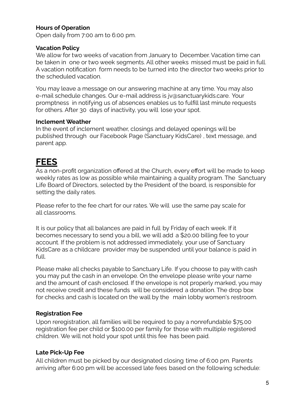## **Hours of Operation**

Open daily from 7:00 am to 6:00 pm.

### **Vacation Policy**

We allow for two weeks of vacation from January to December. Vacation time can be taken in one or two week segments. All other weeks missed must be paid in full. A vacation notification form needs to be turned into the director two weeks prior to the scheduled vacation.

You may leave a message on our answering machine at any time. You may also e-mail schedule changes. Our e-mail address is jv@sanctuarykids.care. Your promptness in notifying us of absences enables us to fulfill last minute requests for others. After 30 days of inactivity, you will lose your spot.

### **Inclement Weather**

In the event of inclement weather, closings and delayed openings will be published through our Facebook Page (Sanctuary KidsCare) , text message, and parent app.

## **FEES**

As a non-profit organization offered at the Church, every effort will be made to keep weekly rates as low as possible while maintaining a quality program. The Sanctuary Life Board of Directors, selected by the President of the board, is responsible for setting the daily rates.

Please refer to the fee chart for our rates. We will use the same pay scale for all classrooms.

It is our policy that all balances are paid in full by Friday of each week. If it becomes necessary to send you a bill, we will add a \$20.00 billing fee to your account. If the problem is not addressed immediately, your use of Sanctuary KidsCare as a childcare provider may be suspended until your balance is paid in full.

Please make all checks payable to Sanctuary Life. If you choose to pay with cash you may put the cash in an envelope. On the envelope please write your name and the amount of cash enclosed. If the envelope is not properly marked, you may not receive credit and these funds will be considered a donation. The drop box for checks and cash is located on the wall by the main lobby women's restroom.

### **Registration Fee**

Upon reregistration, all families will be required to pay a nonrefundable \$75.00 registration fee per child or \$100.00 per family for those with multiple registered children. We will not hold your spot until this fee has been paid.

### **Late Pick-Up Fee**

All children must be picked by our designated closing time of 6:00 pm. Parents arriving after 6:00 pm will be accessed late fees based on the following schedule: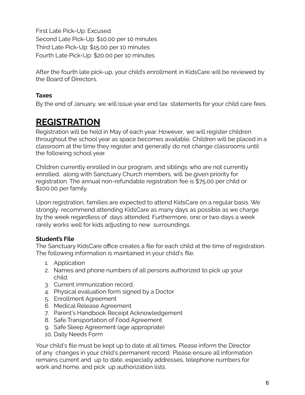First Late Pick-Up: Excused Second Late Pick-Up: \$10.00 per 10 minutes Third Late Pick-Up: \$15.00 per 10 minutes Fourth Late Pick-Up: \$20.00 per 10 minutes

After the fourth late pick-up, your child's enrollment in KidsCare will be reviewed by the Board of Directors.

## **Taxes**

By the end of January, we will issue year end tax statements for your child care fees.

## **REGISTRATION**

Registration will be held in May of each year. However, we will register children throughout the school year as space becomes available. Children will be placed in a classroom at the time they register and generally do not change classrooms until the following school year.

Children currently enrolled in our program, and siblings who are not currently enrolled, along with Sanctuary Church members, will be given priority for registration. The annual non-refundable registration fee is \$75.00 per child or \$100.00 per family.

Upon registration, families are expected to attend KidsCare on a regular basis. We strongly recommend attending KidsCare as many days as possible as we charge by the week regardless of days attended. Furthermore, one or two days a week rarely works well for kids adjusting to new surroundings.

### **Student's File**

The Sanctuary KidsCare office creates a file for each child at the time of registration. The following information is maintained in your child's file.

- 1. Application
- 2. Names and phone numbers of all persons authorized to pick up your child.
- 3. Current immunization record.
- 4. Physical evaluation form signed by a Doctor
- 5. Enrollment Agreement
- 6. Medical Release Agreement
- 7. Parent's Handbook Receipt Acknowledgement
- 8. Safe Transportation of Food Agreement
- 9. Safe Sleep Agreement (age appropriate)
- 10. Daily Needs Form

Your child's file must be kept up to date at all times. Please inform the Director of any changes in your child's permanent record. Please ensure all information remains current and up to date, especially addresses, telephone numbers for work and home, and pick up authorization lists.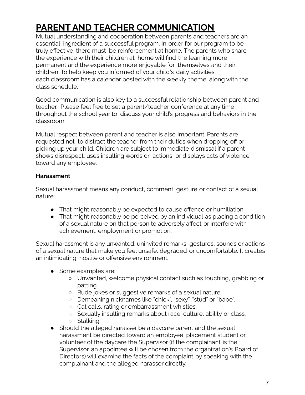# **PARENT AND TEACHER COMMUNICATION**

Mutual understanding and cooperation between parents and teachers are an essential ingredient of a successful program. In order for our program to be truly effective, there must be reinforcement at home. The parents who share the experience with their children at home will find the learning more permanent and the experience more enjoyable for themselves and their children. To help keep you informed of your child's daily activities, each classroom has a calendar posted with the weekly theme, along with the class schedule.

Good communication is also key to a successful relationship between parent and teacher. Please feel free to set a parent/teacher conference at any time throughout the school year to discuss your child's progress and behaviors in the classroom.

Mutual respect between parent and teacher is also important. Parents are requested not to distract the teacher from their duties when dropping off or picking up your child. Children are subject to immediate dismissal if a parent shows disrespect, uses insulting words or actions, or displays acts of violence toward any employee.

## **Harassment**

Sexual harassment means any conduct, comment, gesture or contact of a sexual nature:

- That might reasonably be expected to cause offence or humiliation.
- That might reasonably be perceived by an individual as placing a condition of a sexual nature on that person to adversely affect or interfere with achievement, employment or promotion.

Sexual harassment is any unwanted, uninvited remarks, gestures, sounds or actions of a sexual nature that make you feel unsafe, degraded or uncomfortable. It creates an intimidating, hostile or offensive environment.

- Some examples are:
	- Unwanted, welcome physical contact such as touching, grabbing or patting.
	- Rude jokes or suggestive remarks of a sexual nature.
	- Demeaning nicknames like "chick", "sexy", "stud" or "babe".
	- Cat calls, rating or embarrassment whistles.
	- Sexually insulting remarks about race, culture, ability or class. ○ Stalking.
	-
- Should the alleged harasser be a daycare parent and the sexual harassment be directed toward an employee, placement student or volunteer of the daycare the Supervisor (if the complainant is the Supervisor, an appointee will be chosen from the organization's Board of Directors) will examine the facts of the complaint by speaking with the complainant and the alleged harasser directly.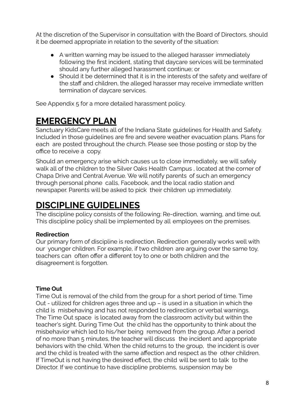At the discretion of the Supervisor in consultation with the Board of Directors, should it be deemed appropriate in relation to the severity of the situation:

- A written warning may be issued to the alleged harasser immediately following the first incident, stating that daycare services will be terminated should any further alleged harassment continue; or
- Should it be determined that it is in the interests of the safety and welfare of the staff and children, the alleged harasser may receive immediate written termination of daycare services.

See Appendix 5 for a more detailed harassment policy.

## **EMERGENCY PLAN**

Sanctuary KidsCare meets all of the Indiana State guidelines for Health and Safety. Included in those guidelines are fire and severe weather evacuation plans. Plans for each are posted throughout the church. Please see those posting or stop by the office to receive a copy.

Should an emergency arise which causes us to close immediately, we will safely walk all of the children to the Silver Oaks Health Campus , located at the corner of Chapa Drive and Central Avenue. We will notify parents of such an emergency through personal phone calls, Facebook, and the local radio station and newspaper. Parents will be asked to pick their children up immediately.

## **DISCIPLINE GUIDELINES**

The discipline policy consists of the following: Re-direction, warning, and time out. This discipline policy shall be implemented by all employees on the premises.

### **Redirection**

Our primary form of discipline is redirection. Redirection generally works well with our younger children. For example, if two children are arguing over the same toy, teachers can often offer a different toy to one or both children and the disagreement is forgotten.

## **Time Out**

Time Out is removal of the child from the group for a short period of time. Time Out - utilized for children ages three and up – is used in a situation in which the child is misbehaving and has not responded to redirection or verbal warnings. The Time Out space is located away from the classroom activity but within the teacher's sight. During Time Out the child has the opportunity to think about the misbehavior which led to his/her being removed from the group. After a period of no more than 5 minutes, the teacher will discuss the incident and appropriate behaviors with the child. When the child returns to the group, the incident is over and the child is treated with the same affection and respect as the other children. If TimeOut is not having the desired effect, the child will be sent to talk to the Director. If we continue to have discipline problems, suspension may be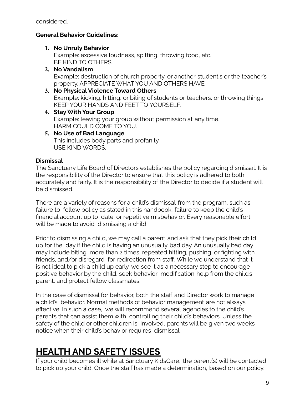considered.

## **General Behavior Guidelines:**

## **1. No Unruly Behavior**

Example: excessive loudness, spitting, throwing food, etc. BE KIND TO OTHERS.

## **2. No Vandalism**

Example: destruction of church property, or another student's or the teacher's property. APPRECIATE WHAT YOU AND OTHERS HAVE

### **3. No Physical Violence Toward Others** Example: kicking, hitting, or biting of students or teachers, or throwing things. KEEP YOUR HANDS AND FEET TO YOURSELF.

- **4. Stay With Your Group** Example: leaving your group without permission at any time. HARM COULD COME TO YOU.
- **5. No Use of Bad Language** This includes body parts and profanity. USE KIND WORDS.

## **Dismissal**

The Sanctuary Life Board of Directors establishes the policy regarding dismissal. It is the responsibility of the Director to ensure that this policy is adhered to both accurately and fairly. It is the responsibility of the Director to decide if a student will be dismissed.

There are a variety of reasons for a child's dismissal from the program, such as failure to follow policy as stated in this handbook, failure to keep the child's financial account up to date, or repetitive misbehavior. Every reasonable effort will be made to avoid dismissing a child.

Prior to dismissing a child, we may call a parent and ask that they pick their child up for the day if the child is having an unusually bad day. An unusually bad day may include biting more than 2 times, repeated hitting, pushing, or fighting with friends, and/or disregard for redirection from staff. While we understand that it is not ideal to pick a child up early, we see it as a necessary step to encourage positive behavior by the child, seek behavior modification help from the child's parent, and protect fellow classmates.

In the case of dismissal for behavior, both the staff and Director work to manage a child's behavior. Normal methods of behavior management are not always effective. In such a case, we will recommend several agencies to the child's parents that can assist them with controlling their child's behaviors. Unless the safety of the child or other children is involved, parents will be given two weeks notice when their child's behavior requires dismissal.

## **HEALTH AND SAFETY ISSUES**

If your child becomes ill while at Sanctuary KidsCare, the parent(s) will be contacted to pick up your child. Once the staff has made a determination, based on our policy,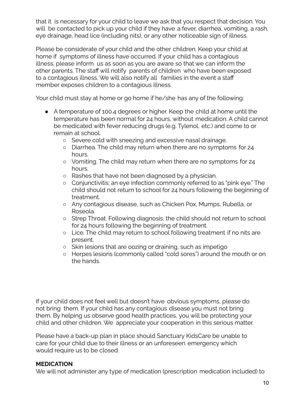that it is necessary for your child to leave we ask that you respect that decision. You will be contacted to pick up your child if they have a fever, diarrhea, vomiting, a rash, eye drainage, head lice (including nits), or any other noticeable sign of illness.

Please be considerate of your child and the other children. Keep your child at home if symptoms of illness have occurred. If your child has a contagious illness, please inform us as soon as you are aware so that we can inform the other parents. The staff will notify parents of children who have been exposed to a contagious illness. We will also notify all families in the event a staff member exposes children to a contagious illness.

Your child must stay at home or go home if he/she has any of the following:

- A temperature of 100.4 degrees or higher. Keep the child at home until the temperature has been normal for 24 hours, without medication. A child cannot be medicated with fever reducing drugs (e.g. Tylenol, etc.) and come to or remain at school.
	- Severe cold with sneezing and excessive nasal drainage.
	- Diarrhea. The child may return when there are no symptoms for 24 hours.
	- Vomiting. The child may return when there are no symptoms for 24 hours.
	- Rashes that have not been diagnosed by a physician.
	- Conjunctivitis: an eye infection commonly referred to as "pink eye." The child should not return to school for 24 hours following the beginning of treatment.
	- Any contagious disease, such as Chicken Pox, Mumps, Rubella, or Roseola.
	- Strep Throat. Following diagnosis, the child should not return to school for 24 hours following the beginning of treatment.
	- Lice. The child may return to school following treatment if no nits are present.
	- Skin lesions that are oozing or draining, such as impetigo
	- Herpes lesions (commonly called "cold sores") around the mouth or on the hands.

If your child does not feel well but doesn't have obvious symptoms, please do not bring them. If your child has any contagious disease you must not bring them. By helping us observe good health practices, you will be protecting your child and other children. We appreciate your cooperation in this serious matter.

Please have a back-up plan in place should Sanctuary KidsCare be unable to care for your child due to their illness or an unforeseen emergency which would require us to be closed.

## **MEDICATION**

We will not administer any type of medication (prescription medication included) to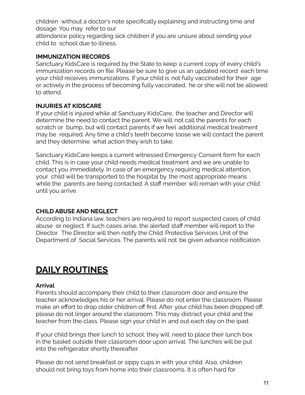children without a doctor's note specifically explaining and instructing time and dosage. You may refer to our

attendance policy regarding sick children if you are unsure about sending your child to school due to illness.

### **IMMUNIZATION RECORDS**

Sanctuary KidsCare is required by the State to keep a current copy of every child's immunization records on file. Please be sure to give us an updated record each time your child receives immunizations. If your child is not fully vaccinated for their age or actively in the process of becoming fully vaccinated, he or she will not be allowed to attend.

## **INJURIES AT KIDSCARE**

If your child is injured while at Sanctuary KidsCare, the teacher and Director will determine the need to contact the parent. We will not call the parents for each scratch or bump, but will contact parents if we feel additional medical treatment may be required. Any time a child's teeth become loose we will contact the parent and they determine what action they wish to take.

Sanctuary KidsCare keeps a current witnessed Emergency Consent form for each child. This is in case your child needs medical treatment and we are unable to contact you immediately. In case of an emergency requiring medical attention, your child will be transported to the hospital by the most appropriate means while the parents are being contacted. A staff member will remain with your child until you arrive.

## **CHILD ABUSE AND NEGLECT**

According to Indiana law, teachers are required to report suspected cases of child abuse or neglect. If such cases arise, the alerted staff member will report to the Director. The Director will then notify the Child Protective Services Unit of the Department of Social Services. The parents will not be given advance notification.

## **DAILY ROUTINES**

## **Arrival**

Parents should accompany their child to their classroom door and ensure the teacher acknowledges his or her arrival. Please do not enter the classroom. Please make an effort to drop older children off first. After your child has been dropped off, please do not linger around the classroom. This may distract your child and the teacher from the class. Please sign your child in and out each day on the ipad.

If your child brings their lunch to school, they will need to place their lunch box in the basket outside their classroom door upon arrival. The lunches will be put into the refrigerator shortly thereafter.

Please do not send breakfast or sippy cups in with your child. Also, children should not bring toys from home into their classrooms. It is often hard for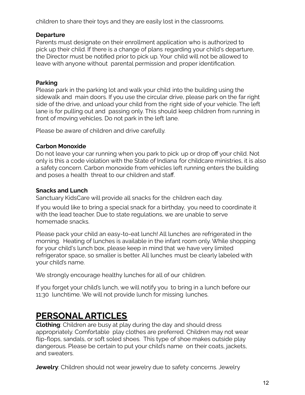children to share their toys and they are easily lost in the classrooms.

## **Departure**

Parents must designate on their enrollment application who is authorized to pick up their child. If there is a change of plans regarding your child's departure, the Director must be notified prior to pick up. Your child will not be allowed to leave with anyone without parental permission and proper identification.

## **Parking**

Please park in the parking lot and walk your child into the building using the sidewalk and main doors. If you use the circular drive, please park on the far right side of the drive, and unload your child from the right side of your vehicle. The left lane is for pulling out and passing only. This should keep children from running in front of moving vehicles. Do not park in the left lane.

Please be aware of children and drive carefully.

## **Carbon Monoxide**

Do not leave your car running when you park to pick up or drop off your child. Not only is this a code violation with the State of Indiana for childcare ministries, it is also a safety concern. Carbon monoxide from vehicles left running enters the building and poses a health threat to our children and staff.

## **Snacks and Lunch**

Sanctuary KidsCare will provide all snacks for the children each day.

If you would like to bring a special snack for a birthday, you need to coordinate it with the lead teacher. Due to state regulations, we are unable to serve homemade snacks.

Please pack your child an easy-to-eat lunch! All lunches are refrigerated in the morning. Heating of lunches is available in the infant room only. While shopping for your child's lunch box, please keep in mind that we have very limited refrigerator space, so smaller is better. All lunches must be clearly labeled with your child's name.

We strongly encourage healthy lunches for all of our children.

If you forget your child's lunch, we will notify you to bring in a lunch before our 11:30 lunchtime. We will not provide lunch for missing lunches.

## **PERSONAL ARTICLES**

**Clothing**: Children are busy at play during the day and should dress appropriately. Comfortable play clothes are preferred. Children may not wear flip-flops, sandals, or soft soled shoes. This type of shoe makes outside play dangerous. Please be certain to put your child's name on their coats, jackets, and sweaters.

**Jewelry**: Children should not wear jewelry due to safety concerns. Jewelry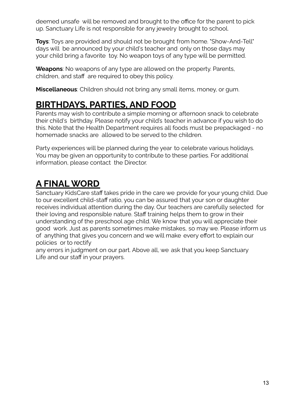deemed unsafe will be removed and brought to the office for the parent to pick up. Sanctuary Life is not responsible for any jewelry brought to school.

**Toys**: Toys are provided and should not be brought from home. "Show-And-Tell" days will be announced by your child's teacher and only on those days may your child bring a favorite toy. No weapon toys of any type will be permitted.

**Weapons**: No weapons of any type are allowed on the property. Parents, children, and staff are required to obey this policy.

**Miscellaneous**: Children should not bring any small items, money, or gum.

## **BIRTHDAYS, PARTIES, AND FOOD**

Parents may wish to contribute a simple morning or afternoon snack to celebrate their child's birthday. Please notify your child's teacher in advance if you wish to do this. Note that the Health Department requires all foods must be prepackaged - no homemade snacks are allowed to be served to the children.

Party experiences will be planned during the year to celebrate various holidays. You may be given an opportunity to contribute to these parties. For additional information, please contact the Director.

# **A FINALWORD**

Sanctuary KidsCare staff takes pride in the care we provide for your young child. Due to our excellent child-staff ratio, you can be assured that your son or daughter receives individual attention during the day. Our teachers are carefully selected for their loving and responsible nature. Staff training helps them to grow in their understanding of the preschool age child. We know that you will appreciate their good work. Just as parents sometimes make mistakes, so may we. Please inform us of anything that gives you concern and we will make every effort to explain our policies or to rectify

any errors in judgment on our part. Above all, we ask that you keep Sanctuary Life and our staff in your prayers.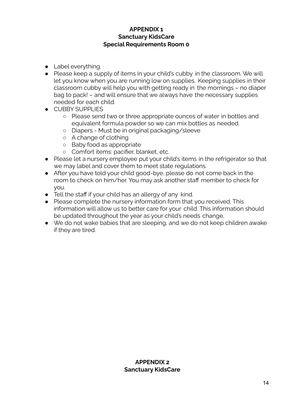### **APPENDIX 1 Sanctuary KidsCare Special Requirements Room 0**

- Label everything.
- Please keep a supply of items in your child's cubby in the classroom. We will let you know when you are running low on supplies. Keeping supplies in their classroom cubby will help you with getting ready in the mornings – no diaper bag to pack! – and will ensure that we always have the necessary supplies needed for each child.
- CUBBY SUPPLIES
	- Please send two or three appropriate ounces of water in bottles and equivalent formula powder so we can mix bottles as needed.
	- Diapers Must be in original packaging/sleeve
	- A change of clothing
	- Baby food as appropriate
	- Comfort items: pacifier, blanket, etc.
- Please let a nursery employee put your child's items in the refrigerator so that we may label and cover them to meet state regulations.
- After you have told your child good-bye, please do not come back in the room to check on him/her. You may ask another staff member to check for you.
- Tell the staff if your child has an allergy of any kind.
- Please complete the nursery information form that you received. This information will allow us to better care for your child. This information should be updated throughout the year as your child's needs change.
- We do not wake babies that are sleeping, and we do not keep children awake if they are tired.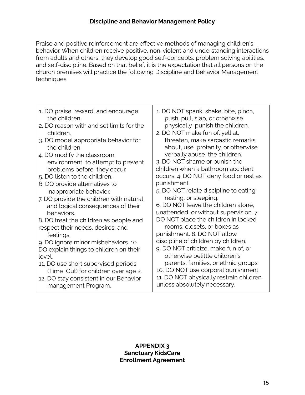Praise and positive reinforcement are effective methods of managing children's behavior. When children receive positive, non-violent and understanding interactions from adults and others, they develop good self-concepts, problem solving abilities, and self-discipline. Based on that belief, it is the expectation that all persons on the church premises will practice the following Discipline and Behavior Management techniques.

| 1. DO praise, reward, and encourage      | 1. DO NOT spank, shake, bite, pinch,    |
|------------------------------------------|-----------------------------------------|
| the children.                            | push, pull, slap, or otherwise          |
| 2. DO reason with and set limits for the | physically punish the children.         |
| children.                                | 2. DO NOT make fun of, yell at,         |
| 3. DO model appropriate behavior for     | threaten, make sarcastic remarks        |
| the children.                            | about, use profanity, or otherwise      |
| 4. DO modify the classroom               | verbally abuse the children.            |
| environment to attempt to prevent        | 3. DO NOT shame or punish the           |
| problems before they occur.              | children when a bathroom accident       |
| 5. DO listen to the children.            | occurs. 4. DO NOT deny food or rest as  |
| 6. DO provide alternatives to            | punishment.                             |
| inappropriate behavior.                  | 5. DO NOT relate discipline to eating,  |
| 7. DO provide the children with natural  | resting, or sleeping.                   |
| and logical consequences of their        | 6. DO NOT leave the children alone,     |
| behaviors.                               | unattended, or without supervision. 7.  |
| 8. DO treat the children as people and   | DO NOT place the children in locked     |
| respect their needs, desires, and        | rooms, closets, or boxes as             |
| feelings.                                | punishment. 8. DO NOT allow             |
| 9. DO ignore minor misbehaviors. 10.     | discipline of children by children.     |
| DO explain things to children on their   | 9. DO NOT criticize, make fun of, or    |
| level.                                   | otherwise belittle children's           |
| 11. DO use short supervised periods      | parents, families, or ethnic groups.    |
| (Time Out) for children over age 2.      | 10. DO NOT use corporal punishment      |
| 12. DO stay consistent in our Behavior   | 11. DO NOT physically restrain children |
| management Program.                      | unless absolutely necessary.            |

### **APPENDIX 3 Sanctuary KidsCare Enrollment Agreement**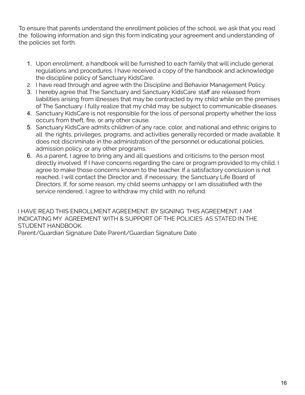To ensure that parents understand the enrollment policies of the school, we ask that you read the following information and sign this form indicating your agreement and understanding of the policies set forth.

- 1. Upon enrollment, a handbook will be furnished to each family that will include general regulations and procedures. I have received a copy of the handbook and acknowledge the discipline policy of Sanctuary KidsCare.
- 2. I have read through and agree with the Discipline and Behavior Management Policy.
- 3. I hereby agree that The Sanctuary and Sanctuary KidsCare staff are released from liabilities arising from illnesses that may be contracted by my child while on the premises of The Sanctuary. I fully realize that my child may be subject to communicable diseases.
- 4. Sanctuary KidsCare is not responsible for the loss of personal property whether the loss occurs from theft, fire, or any other cause.
- 5. Sanctuary KidsCare admits children of any race, color, and national and ethnic origins to all the rights, privileges, programs, and activities generally recorded or made available. It does not discriminate in the administration of the personnel or educational policies, admission policy, or any other programs.
- 6. As a parent, I agree to bring any and all questions and criticisms to the person most directly involved. If I have concerns regarding the care or program provided to my child, I agree to make those concerns known to the teacher. If a satisfactory conclusion is not reached, I will contact the Director and, if necessary, the Sanctuary Life Board of Directors. If, for some reason, my child seems unhappy or I am dissatisfied with the service rendered, I agree to withdraw my child with no refund.

I HAVE READ THIS ENROLLMENT AGREEMENT. BY SIGNING THIS AGREEMENT, I AM INDICATING MY AGREEMENT WITH & SUPPORT OF THE POLICIES AS STATED IN THE STUDENT HANDBOOK.

Parent/Guardian Signature Date Parent/Guardian Signature Date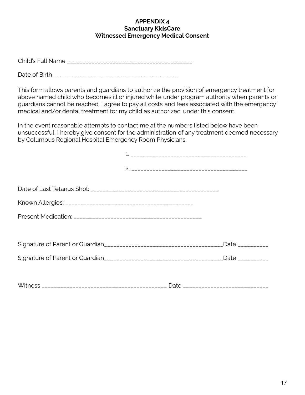#### **APPENDIX 4 Sanctuary KidsCare Witnessed Emergency Medical Consent**

Child's Full Name \_\_\_\_\_\_\_\_\_\_\_\_\_\_\_\_\_\_\_\_\_\_\_\_\_\_\_\_\_\_\_\_\_\_\_\_\_\_\_\_\_

Date of Birth \_\_\_\_\_\_\_\_\_\_\_\_\_\_\_\_\_\_\_\_\_\_\_\_\_\_\_\_\_\_\_\_\_\_\_\_\_\_\_\_\_

This form allows parents and guardians to authorize the provision of emergency treatment for above named child who becomes ill or injured while under program authority when parents or guardians cannot be reached. I agree to pay all costs and fees associated with the emergency medical and/or dental treatment for my child as authorized under this consent.

In the event reasonable attempts to contact me at the numbers listed below have been unsuccessful, I hereby give consent for the administration of any treatment deemed necessary by Columbus Regional Hospital Emergency Room Physicians.

|  | Date __________ |
|--|-----------------|
|  | Date __________ |
|  |                 |
|  |                 |

Witness \_\_\_\_\_\_\_\_\_\_\_\_\_\_\_\_\_\_\_\_\_\_\_\_\_\_\_\_\_\_\_\_\_\_\_\_\_\_\_\_\_ Date \_\_\_\_\_\_\_\_\_\_\_\_\_\_\_\_\_\_\_\_\_\_\_\_\_\_\_\_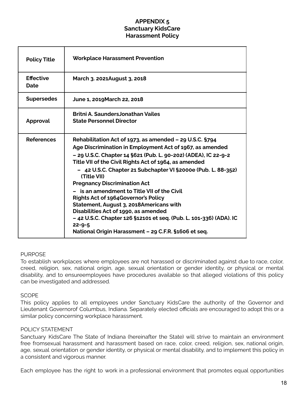### **APPENDIX 5 Sanctuary KidsCare Harassment Policy**

| <b>Policy Title</b>      | <b>Workplace Harassment Prevention</b>                                                                                                                                                                                                                                                                                                                                                                                                                                                                                                                                                                                                                                                           |
|--------------------------|--------------------------------------------------------------------------------------------------------------------------------------------------------------------------------------------------------------------------------------------------------------------------------------------------------------------------------------------------------------------------------------------------------------------------------------------------------------------------------------------------------------------------------------------------------------------------------------------------------------------------------------------------------------------------------------------------|
| <b>Effective</b><br>Date | March 3. 2021August 3, 2018                                                                                                                                                                                                                                                                                                                                                                                                                                                                                                                                                                                                                                                                      |
| <b>Supersedes</b>        | June 1, 2019 March 22, 2018                                                                                                                                                                                                                                                                                                                                                                                                                                                                                                                                                                                                                                                                      |
| Approval                 | <b>Britni A. SaundersJonathan Vailes</b><br><b>State Personnel Director</b>                                                                                                                                                                                                                                                                                                                                                                                                                                                                                                                                                                                                                      |
| <b>References</b>        | Rehabilitation Act of 1973, as amended - 29 U.S.C. §794<br>Age Discrimination in Employment Act of 1967, as amended<br>- 29 U.S.C. Chapter 14 §621 (Pub. L. 90-202) (ADEA), IC 22-9-2<br>Title VII of the Civil Rights Act of 1964, as amended<br>- 42 U.S.C. Chapter 21 Subchapter VI §2000e (Pub. L. 88-352)<br>(Title VII)<br><b>Pregnancy Discrimination Act</b><br>is an amendment to Title VII of the Civil<br><b>Rights Act of 1964Governor's Policy</b><br>Statement, August 3, 2018Americans with<br>Disabilities Act of 1990, as amended<br>- 42 U.S.C. Chapter 126 §12101 et seq. (Pub. L. 101-336) (ADA). IC<br>$22 - 9 - 5$<br>National Origin Harassment - 29 C.F.R. §1606 et seq. |

#### PURPOSE

To establish workplaces where employees are not harassed or discriminated against due to race, color, creed, religion, sex, national origin, age, sexual orientation or gender identity, or physical or mental disability, and to ensureemployees have procedures available so that alleged violations of this policy can be investigated and addressed.

#### **SCOPE**

This policy applies to all employees under Sanctuary KidsCare the authority of the Governor and Lieutenant Governorof Columbus, Indiana. Separately elected officials are encouraged to adopt this or a similar policy concerning workplace harassment.

#### POLICY STATEMENT

Sanctuary KidsCare The State of Indiana (hereinafter the State) will strive to maintain an environment free fromsexual harassment and harassment based on race, color, creed, religion, sex, national origin, age, sexual orientation or gender identity, or physical or mental disability, and to implement this policy in a consistent and vigorous manner.

Each employee has the right to work in a professional environment that promotes equal opportunities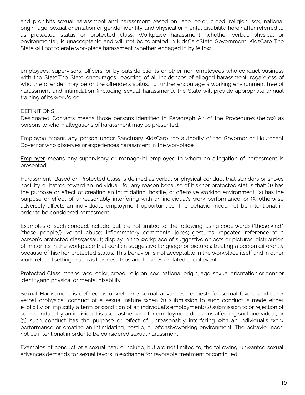and prohibits sexual harassment and harassment based on race, color, creed, religion, sex, national origin, age, sexual orientation or gender identity, and physical or mental disability, hereinafter referred to as protected status or protected class. Workplace harassment, whether verbal, physical or environmental, is unacceptable and will not be tolerated in KidsCareState Government. KidsCare The State will not tolerate workplace harassment, whether engaged in by fellow

employees, supervisors, officers, or by outside clients or other non-employees who conduct business with the State.The State encourages reporting of all incidences of alleged harassment, regardless of who the offender may be or the offender's status. To further encourage a working environment free of harassment and intimidation (including sexual harassment), the State will provide appropriate annual training of its workforce.

#### **DEFINITIONS**

Designated Contacts means those persons identified in Paragraph A.1 of the Procedures (below) as persons to whom allegations of harassment may be presented.

Employee means any person under Sanctuary KidsCare the authority of the Governor or Lieutenant Governor who observes or experiences harassment in the workplace.

Employer means any supervisory or managerial employee to whom an allegation of harassment is presented.

Harassment Based on Protected Class is defined as verbal or physical conduct that slanders or shows hostility or hatred toward an individual for any reason because of his/her protected status that: (1) has the purpose or effect of creating an intimidating, hostile, or offensive working environment; (2) has the purpose or effect of unreasonably interfering with an individual's work performance; or (3) otherwise adversely affects an individual's employment opportunities. The behavior need not be intentional in order to be considered harassment.

Examples of such conduct include, but are not limited to, the following: using code words ("those kind," "those people,"); verbal abuse; inflammatory comments; jokes; gestures; repeated reference to a person's protected class;assault; display in the workplace of suggestive objects or pictures; distribution of materials in the workplace that contain suggestive language or pictures; treating a person differently because of his/her protected status. This behavior is not acceptable in the workplace itself and in other work-related settings such as business trips and business-related social events.

Protected Class means race, color, creed, religion, sex, national origin, age, sexual orientation or gender identity,and physical or mental disability.

Sexual Harassment is defined as unwelcome sexual advances, requests for sexual favors, and other verbal orphysical conduct of a sexual nature when (1) submission to such conduct is made either explicitly or implicitly a term or condition of an individual's employment; (2) submission to or rejection of such conduct by an individual is used asthe basis for employment decisions affecting such individual; or (3) such conduct has the purpose or effect of unreasonably interfering with an individual's work performance or creating an intimidating, hostile, or offensiveworking environment. The behavior need not be intentional in order to be considered sexual harassment.

Examples of conduct of a sexual nature include, but are not limited to, the following: unwanted sexual advances;demands for sexual favors in exchange for favorable treatment or continued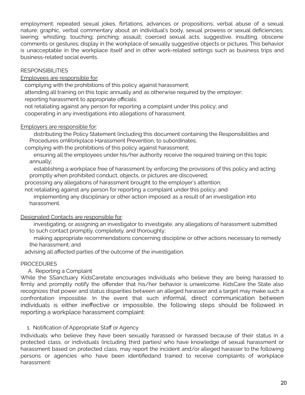employment; repeated sexual jokes, flirtations, advances or propositions; verbal abuse of a sexual nature; graphic, verbal commentary about an individual's body, sexual prowess or sexual deficiencies; leering; whistling; touching; pinching; assault; coerced sexual acts; suggestive, insulting, obscene comments or gestures; display in the workplace of sexually suggestive objects or pictures. This behavior is unacceptable in the workplace itself and in other work-related settings such as business trips and business-related social events.

#### **RESPONSIBILITIES**

Employees are responsible for:

complying with the prohibitions of this policy against harassment;

attending all training on this topic annually and as otherwise required by the employer;

reporting harassment to appropriate officials;

not retaliating against any person for reporting a complaint under this policy; and cooperating in any investigations into allegations of harassment.

#### Employers are responsible for:

distributing the Policy Statement (including this document containing the Responsibilities and Procedures onWorkplace Harassment Prevention, to subordinates;

complying with the prohibitions of this policy against harassment;

ensuring all the employees under his/her authority receive the required training on this topic annually;

establishing a workplace free of harassment by enforcing the provisions of this policy and acting promptly when prohibited conduct, objects, or pictures are discovered;

processing any allegations of harassment brought to the employer's attention;

not retaliating against any person for reporting a complaint under this policy; and

implementing any disciplinary or other action imposed as a result of an investigation into harassment.

#### Designated Contacts are responsible for:

investigating, or assigning an investigator to investigate, any allegations of harassment submitted to such contact promptly, completely, and thoroughly;

making appropriate recommendations concerning discipline or other actions necessary to remedy the harassment; and

advising all affected parties of the outcome of the investigation.

#### **PROCEDURES**

A. Reporting a Complaint

While the SSanctuary KidsCaretate encourages individuals who believe they are being harassed to firmly and promptly notify the offender that his/her behavior is unwelcome, KidsCare the State also recognizes that power and status disparities between an alleged harasser and a target may make such a confrontation impossible. In the event that such informal, direct communication between individuals is either ineffective or impossible, the following steps should be followed in reporting a workplace harassment complaint:

#### 1. Notification of Appropriate Staff or Agency

Individuals who believe they have been sexually harassed or harassed because of their status in a protected class, or individuals (including third parties) who have knowledge of sexual harassment or harassment based on protected class, may report the incident and/or alleged harasser to the following persons or agencies who have been identifiedand trained to receive complaints of workplace harassment: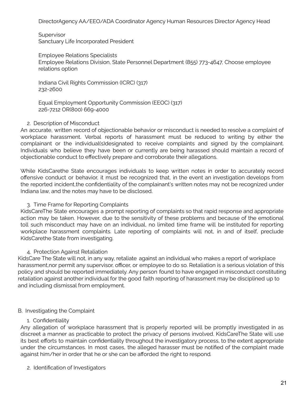DirectorAgency AA/EEO/ADA Coordinator Agency Human Resources Director Agency Head

**Supervisor** Sanctuary Life Incorporated President

Employee Relations Specialists Employee Relations Division, State Personnel Department (855) 773-4647, Choose employee relations option

Indiana Civil Rights Commission (ICRC) (317) 232-2600

Equal Employment Opportunity Commission (EEOC) (317) 226-7212 OR(800) 669-4000

#### 2. Description of Misconduct

An accurate, written record of objectionable behavior or misconduct is needed to resolve a complaint of workplace harassment. Verbal reports of harassment must be reduced to writing by either the complainant or the individual(s)designated to receive complaints and signed by the complainant. Individuals who believe they have been or currently are being harassed should maintain a record of objectionable conduct to effectively prepare and corroborate their allegations.

While KidsCarethe State encourages individuals to keep written notes in order to accurately record offensive conduct or behavior, it must be recognized that, in the event an investigation develops from the reported incident,the confidentiality of the complainant's written notes may not be recognized under Indiana law, and the notes may have to be disclosed.

#### 3. Time Frame for Reporting Complaints

KidsCareThe State encourages a prompt reporting of complaints so that rapid response and appropriate action may be taken. However, due to the sensitivity of these problems and because of the emotional toll such misconduct may have on an individual, no limited time frame will be instituted for reporting workplace harassment complaints. Late reporting of complaints will not, in and of itself, preclude KidsCarethe State from investigating.

#### 4. Protection Against Retaliation

KidsCare The State will not, in any way, retaliate against an individual who makes a report of workplace harassment,nor permit any supervisor, officer, or employee to do so. Retaliation is a serious violation of this policy and should be reported immediately. Any person found to have engaged in misconduct constituting retaliation against another individual for the good faith reporting of harassment may be disciplined up to and including dismissal from employment.

#### B. Investigating the Complaint

#### 1. Confidentiality

Any allegation of workplace harassment that is properly reported will be promptly investigated in as discreet a manner as practicable to protect the privacy of persons involved. KidsCareThe State will use its best efforts to maintain confidentiality throughout the investigatory process, to the extent appropriate under the circumstances. In most cases, the alleged harasser must be notified of the complaint made against him/her in order that he or she can be afforded the right to respond*.*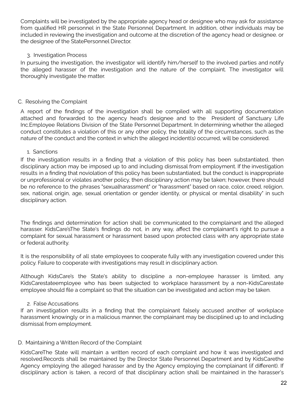Complaints will be investigated by the appropriate agency head or designee who may ask for assistance from qualified HR personnel in the State Personnel Department. In addition, other individuals may be included in reviewing the investigation and outcome at the discretion of the agency head or designee. or the designee of the StatePersonnel Director.

#### 3. Investigation Process

In pursuing the investigation, the investigator will identify him/herself to the involved parties and notify the alleged harasser of the investigation and the nature of the complaint. The investigator will thoroughly investigate the matter.

### C. Resolving the Complaint

A report of the findings of the investigation shall be compiled with all supporting documentation attached and forwarded to the agency head's designee and to the President of Sanctuary Life Inc.Employee Relations Division of the State Personnel Department. In determining whether the alleged conduct constitutes a violation of this or any other policy, the totality of the circumstances, such as the nature of the conduct and the context in which the alleged incident(s) occurred, will be considered.

#### 1. Sanctions

If the investigation results in a finding that a violation of this policy has been substantiated, then disciplinary action may be imposed up to and including dismissal from employment. If the investigation results in a finding that noviolation of this policy has been substantiated, but the conduct is inappropriate or unprofessional or violates another policy, then disciplinary action may be taken; however, there should be no reference to the phrases "sexualharassment" or "harassment" based on race, color, creed, religion, sex, national origin, age, sexual orientation or gender identity, or physical or mental disability" in such disciplinary action.

The findings and determination for action shall be communicated to the complainant and the alleged harasser. KidsCare'sThe State's findings do not, in any way, affect the complainant's right to pursue a complaint for sexual harassment or harassment based upon protected class with any appropriate state or federal authority.

It is the responsibility of all state employees to cooperate fully with any investigation covered under this policy. Failure to cooperate with investigations may result in disciplinary action.

Although KidsCare's the State's ability to discipline a non-employee harasser is limited, any KidsCarestateemployee who has been subjected to workplace harassment by a non-KidsCarestate employee should file a complaint so that the situation can be investigated and action may be taken.

#### 2. False Accusations

If an investigation results in a finding that the complainant falsely accused another of workplace harassment knowingly or in a malicious manner, the complainant may be disciplined up to and including dismissal from employment.

#### D. Maintaining a Written Record of the Complaint

KidsCareThe State will maintain a written record of each complaint and how it was investigated and resolved.Records shall be maintained by the Director State Personnel Department and by KidsCarethe Agency employing the alleged harasser and by the Agency employing the complainant (if different). If disciplinary action is taken, a record of that disciplinary action shall be maintained in the harasser's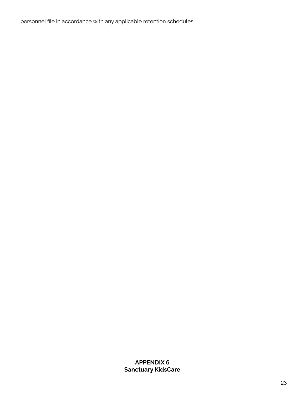personnel file in accordance with any applicable retention schedules.

**APPENDIX 6 Sanctuary KidsCare**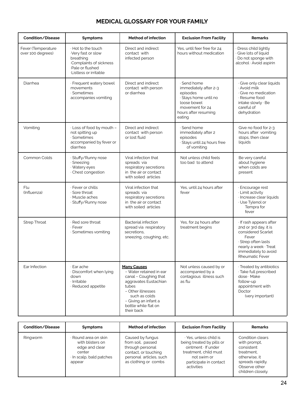## **MEDICAL GLOSSARY FOR YOUR FAMILY**

| Condition/Disease                       | Symptoms                                                                                                                   | <b>Method of infection</b>                                                                                                                                                                                   | <b>Exclusion From Facility</b>                                                                                                                | <b>Remarks</b>                                                                                                                                                           |
|-----------------------------------------|----------------------------------------------------------------------------------------------------------------------------|--------------------------------------------------------------------------------------------------------------------------------------------------------------------------------------------------------------|-----------------------------------------------------------------------------------------------------------------------------------------------|--------------------------------------------------------------------------------------------------------------------------------------------------------------------------|
| Fever (Temperature<br>over 100 degrees) | · Hot to the touch<br>Very fast or slow<br>breathing<br>Complaints of sickness<br>Pale or flushed<br>Listless or irritable | Direct and indirect<br>contact with<br>infected person                                                                                                                                                       | Yes, until feer free for 24<br>hours without medication                                                                                       | Dress child lightly<br>· Give lots of liquid<br>· Do not sponge with<br>alcohol · Avoid aspirin                                                                          |
| Diarrhea                                | · Frequent watery bowel<br>movements<br>· Sometimes<br>accompanies vomiting                                                | Direct and indirect<br>contact with person<br>or diarrhea                                                                                                                                                    | · Send home<br>immediately after 2-3<br>episodes<br>· Stays home until no<br>loose bowel<br>movement for 24<br>hours after resuming<br>eating | · Give only clear liquids<br>· Avoid milk<br>Give no medication<br>· Resume food<br>intake slowly · Be<br>careful of<br>dehydration                                      |
| Vomiting                                | · Loss of food by mouth -<br>not spitting up<br>Sometimes<br>accompanied by fever or<br>diarrhea                           | Direct and indirect<br>contact with person<br>or lost fluid                                                                                                                                                  | · Send home<br>immediately after 2<br>episodes<br>· Stays until 24 hours free<br>of vomiting                                                  | Give no food for 2-3<br>hours after vomiting<br>stops, then clear<br>liquids                                                                                             |
| Common Colds                            | Stuffy/Runny nose<br>· Sneezing<br>· Watery eyes<br>Chest congestion                                                       | Viral infection that<br>spreads via<br>respiratory secretions<br>in the air or contact<br>with soiled articles                                                                                               | Not unless child feels<br>too bad to attend                                                                                                   | Be very careful<br>about hygiene<br>when colds are<br>present                                                                                                            |
| Flu<br>(Influenza)                      | · Fever or chills<br>Sore throat<br>· Muscle aches<br>· Stuffy/Runny nose                                                  | Viral infection that<br>spreads via<br>respiratory secretions<br>in the air or contact<br>with soiled articles                                                                                               | Yes, until 24 hours after<br>fever                                                                                                            | · Encourage rest<br>· Limit activity<br>Increase clear liquids<br>· Use Tylenol or<br>Tempra for<br>fever                                                                |
| <b>Strep Throat</b>                     | Red sore throat<br>· Fever<br>· Sometimes vomiting                                                                         | <b>Bacterial infection</b><br>spread via respiratory<br>secretions,<br>sneezing, coughing, etc.                                                                                                              | Yes, for 24 hours after<br>treatment begins                                                                                                   | · If rash appears after<br>2nd or 3rd day, it is<br>considered Scarlet<br>Fever<br>Strep often lasts<br>nearly a week · Treat<br>immediately to avoid<br>Rheumatic Fever |
| Ear Infection                           | · Ear ache<br>Discomfort when lying<br>down<br>· Irritable<br>· Reduced appetite                                           | <b>Many Causes</b><br>- Water retained in ear<br>canal - Coughing that<br>aggravates Eustachian<br>tubes<br>- Other illnesses<br>such as colds<br>- Giving an infant a<br>bottle while flat on<br>their back | Not unless caused by or<br>accompanied by a<br>contagious illness such<br>as flu                                                              | · Treated by antibiotics<br>· Take full prescribed<br>dose · Make<br>follow-up<br>appointment with<br>Doctor<br>(very important)                                         |

| Condition/Disease | <b>Symptoms</b>                                                                                          | Method of infection                                                                                                                  | <b>Exclusion From Facility</b>                                                                                                                           | <b>Remarks</b>                                                                                                                          |
|-------------------|----------------------------------------------------------------------------------------------------------|--------------------------------------------------------------------------------------------------------------------------------------|----------------------------------------------------------------------------------------------------------------------------------------------------------|-----------------------------------------------------------------------------------------------------------------------------------------|
| Ringworm          | · Round area on skin<br>with blisters on<br>edge and clear<br>center<br>In scalp, bald patches<br>appear | Caused by fungus<br>from soil, passed<br>through personal<br>contact, or touching<br>personal articles, such<br>as clothing or combs | · Yes, unless child is<br>being treated by pills or<br>ointment If under<br>treatment, child must<br>not swim or<br>participate in contact<br>activities | Condition clears<br>with prompt.<br>consistent<br>treatment.<br>otherwise, it<br>spreads rapidly.<br>Observe other<br>children closely. |